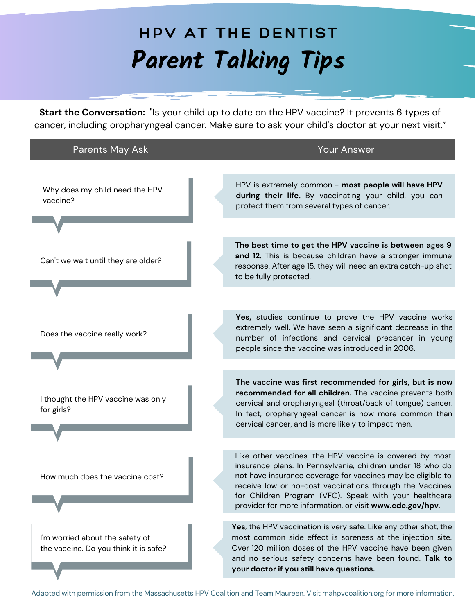## **Parent Talking Tips HPV AT THE DENTIST**

**Start the Conversation:** "Is your child up to date on the HPV vaccine? It prevents 6 types of cancer, including oropharyngeal cancer. Make sure to ask your child's doctor at your next visit."

| <b>Parents May Ask</b>                                                   | <b>Your Answer</b>                                                                                                                                                                                                                                                                                          |
|--------------------------------------------------------------------------|-------------------------------------------------------------------------------------------------------------------------------------------------------------------------------------------------------------------------------------------------------------------------------------------------------------|
|                                                                          |                                                                                                                                                                                                                                                                                                             |
| Why does my child need the HPV<br>vaccine?                               | HPV is extremely common - most people will have HPV<br>during their life. By vaccinating your child, you can<br>protect them from several types of cancer.                                                                                                                                                  |
|                                                                          |                                                                                                                                                                                                                                                                                                             |
| Can't we wait until they are older?                                      | The best time to get the HPV vaccine is between ages 9<br>and 12. This is because children have a stronger immune<br>response. After age 15, they will need an extra catch-up shot<br>to be fully protected.                                                                                                |
|                                                                          |                                                                                                                                                                                                                                                                                                             |
| Does the vaccine really work?                                            | Yes, studies continue to prove the HPV vaccine works<br>extremely well. We have seen a significant decrease in the<br>number of infections and cervical precancer in young<br>people since the vaccine was introduced in 2006.                                                                              |
|                                                                          |                                                                                                                                                                                                                                                                                                             |
| I thought the HPV vaccine was only<br>for girls?                         | The vaccine was first recommended for girls, but is now<br>recommended for all children. The vaccine prevents both<br>cervical and oropharyngeal (throat/back of tongue) cancer.<br>In fact, oropharyngeal cancer is now more common than<br>cervical cancer, and is more likely to impact men.             |
|                                                                          | Like other vaccines, the HPV vaccine is covered by most                                                                                                                                                                                                                                                     |
| How much does the vaccine cost?                                          | insurance plans. In Pennsylvania, children under 18 who do<br>not have insurance coverage for vaccines may be eligible to<br>receive low or no-cost vaccinations through the Vaccines<br>for Children Program (VFC). Speak with your healthcare<br>provider for more information, or visit www.cdc.gov/hpv. |
| I'm worried about the safety of<br>the vaccine. Do you think it is safe? | Yes, the HPV vaccination is very safe. Like any other shot, the<br>most common side effect is soreness at the injection site.                                                                                                                                                                               |
|                                                                          | Over 120 million doses of the HPV vaccine have been given<br>and no serious safety concerns have been found. Talk to<br>your doctor if you still have questions.                                                                                                                                            |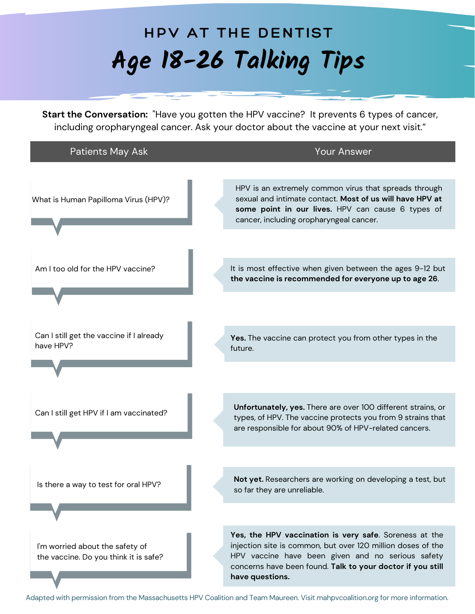## **Age 18-26 Talking Tips HPV AT THE DENTIST**

**Start the Conversation:** "Have you gotten the HPV vaccine? It prevents 6 types of cancer, including oropharyngeal cancer. Ask your doctor about the vaccine at your next visit."

| Patients May Ask                                                         | <b>Your Answer</b>                                                                                                                                                                                                                                          |
|--------------------------------------------------------------------------|-------------------------------------------------------------------------------------------------------------------------------------------------------------------------------------------------------------------------------------------------------------|
| What is Human Papilloma Virus (HPV)?                                     | HPV is an extremely common virus that spreads through<br>sexual and intimate contact. Most of us will have HPV at<br>some point in our lives. HPV can cause 6 types of<br>cancer, including oropharyngeal cancer.                                           |
| Am I too old for the HPV vaccine?                                        | It is most effective when given between the ages 9-12 but<br>the vaccine is recommended for everyone up to age 26.                                                                                                                                          |
| Can I still get the vaccine if I already<br>have HPV?                    | Yes. The vaccine can protect you from other types in the<br>future.                                                                                                                                                                                         |
|                                                                          |                                                                                                                                                                                                                                                             |
| Can I still get HPV if I am vaccinated?                                  | Unfortunately, yes. There are over 100 different strains, or<br>types, of HPV. The vaccine protects you from 9 strains that<br>are responsible for about 90% of HPV-related cancers.                                                                        |
|                                                                          |                                                                                                                                                                                                                                                             |
| Is there a way to test for oral HPV?                                     | Not yet. Researchers are working on developing a test, but<br>so far they are unreliable.                                                                                                                                                                   |
|                                                                          |                                                                                                                                                                                                                                                             |
| I'm worried about the safety of<br>the vaccine. Do you think it is safe? | Yes, the HPV vaccination is very safe. Soreness at the<br>injection site is common, but over 120 million doses of the<br>HPV vaccine have been given and no serious safety<br>concerns have been found. Talk to your doctor if you still<br>have questions. |